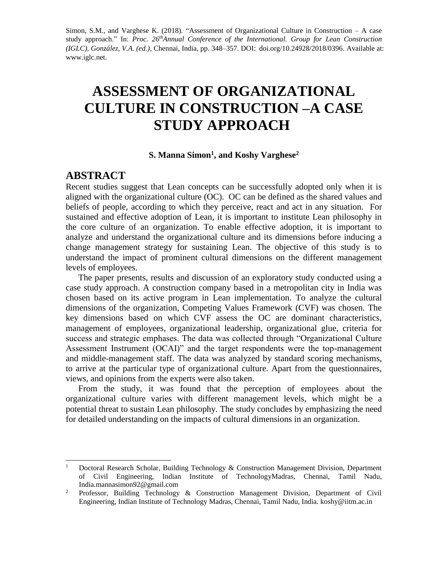Simon, S.M., and Varghese K. (2018). "Assessment of Organizational Culture in Construction – A case study approach." In: *Proc. 26 thAnnual Conference of the International. Group for Lean Construction (IGLC), González, V.A. (ed.)*, Chennai, India, pp. 348–357. DOI: [doi.org/10.24928/2018/0396.](http://doi.org/10.24928/2018/0396) Available at: www.iglc.net.

# **ASSESSMENT OF ORGANIZATIONAL CULTURE IN CONSTRUCTION –A CASE STUDY APPROACH**

#### **S. Manna Simon<sup>1</sup> , and Koshy Varghese<sup>2</sup>**

#### **ABSTRACT**

l

Recent studies suggest that Lean concepts can be successfully adopted only when it is aligned with the organizational culture (OC). OC can be defined as the shared values and beliefs of people, according to which they perceive, react and act in any situation. For sustained and effective adoption of Lean, it is important to institute Lean philosophy in the core culture of an organization. To enable effective adoption, it is important to analyze and understand the organizational culture and its dimensions before inducing a change management strategy for sustaining Lean. The objective of this study is to understand the impact of prominent cultural dimensions on the different management levels of employees.

The paper presents, results and discussion of an exploratory study conducted using a case study approach. A construction company based in a metropolitan city in India was chosen based on its active program in Lean implementation. To analyze the cultural dimensions of the organization, Competing Values Framework (CVF) was chosen. The key dimensions based on which CVF assess the OC are dominant characteristics, management of employees, organizational leadership, organizational glue, criteria for success and strategic emphases. The data was collected through "Organizational Culture Assessment Instrument (OCAI)" and the target respondents were the top-management and middle-management staff. The data was analyzed by standard scoring mechanisms, to arrive at the particular type of organizational culture. Apart from the questionnaires, views, and opinions from the experts were also taken.

From the study, it was found that the perception of employees about the organizational culture varies with different management levels, which might be a potential threat to sustain Lean philosophy. The study concludes by emphasizing the need for detailed understanding on the impacts of cultural dimensions in an organization.

<sup>&</sup>lt;sup>1</sup> Doctoral Research Scholar, Building Technology & Construction Management Division, Department of Civil Engineering, Indian Institute of TechnologyMadras, Chennai, Tamil Nadu, India[.mannasimon92@gmail.com](mailto:mannasimon92@gmail.com)

<sup>&</sup>lt;sup>2</sup> Professor, Building Technology & Construction Management Division, Department of Civil Engineering, Indian Institute of Technology Madras, Chennai, Tamil Nadu, India. [koshy@iitm.ac.in](mailto:koshy@iitm.ac.in)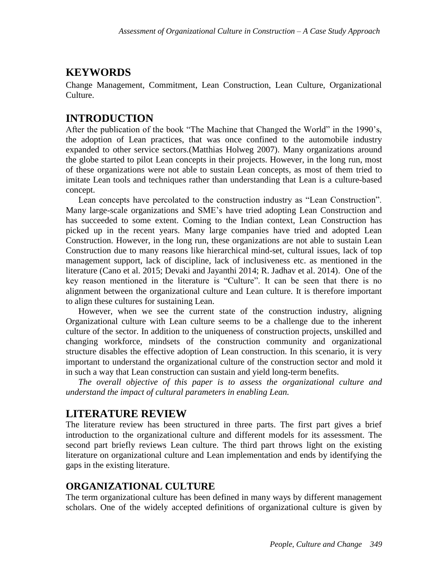# **KEYWORDS**

Change Management, Commitment, Lean Construction, Lean Culture, Organizational Culture.

# **INTRODUCTION**

After the publication of the book "The Machine that Changed the World" in the 1990's, the adoption of Lean practices, that was once confined to the automobile industry expanded to other service sectors.(Matthias Holweg 2007). Many organizations around the globe started to pilot Lean concepts in their projects. However, in the long run, most of these organizations were not able to sustain Lean concepts, as most of them tried to imitate Lean tools and techniques rather than understanding that Lean is a culture-based concept.

Lean concepts have percolated to the construction industry as "Lean Construction". Many large-scale organizations and SME's have tried adopting Lean Construction and has succeeded to some extent. Coming to the Indian context, Lean Construction has picked up in the recent years. Many large companies have tried and adopted Lean Construction. However, in the long run, these organizations are not able to sustain Lean Construction due to many reasons like hierarchical mind-set, cultural issues, lack of top management support, lack of discipline, lack of inclusiveness etc. as mentioned in the literature (Cano et al. 2015; Devaki and Jayanthi 2014; R. Jadhav et al. 2014). One of the key reason mentioned in the literature is "Culture". It can be seen that there is no alignment between the organizational culture and Lean culture. It is therefore important to align these cultures for sustaining Lean.

However, when we see the current state of the construction industry, aligning Organizational culture with Lean culture seems to be a challenge due to the inherent culture of the sector. In addition to the uniqueness of construction projects, unskilled and changing workforce, mindsets of the construction community and organizational structure disables the effective adoption of Lean construction. In this scenario, it is very important to understand the organizational culture of the construction sector and mold it in such a way that Lean construction can sustain and yield long-term benefits.

*The overall objective of this paper is to assess the organizational culture and understand the impact of cultural parameters in enabling Lean.* 

# **LITERATURE REVIEW**

The literature review has been structured in three parts. The first part gives a brief introduction to the organizational culture and different models for its assessment. The second part briefly reviews Lean culture. The third part throws light on the existing literature on organizational culture and Lean implementation and ends by identifying the gaps in the existing literature.

### **ORGANIZATIONAL CULTURE**

The term organizational culture has been defined in many ways by different management scholars. One of the widely accepted definitions of organizational culture is given by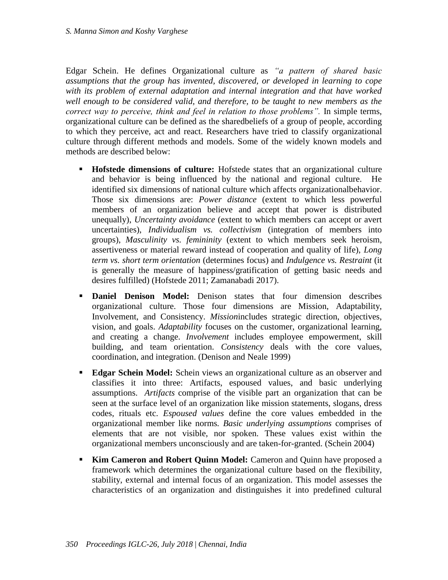Edgar Schein. He defines Organizational culture as *"a pattern of shared basic assumptions that the group has invented, discovered, or developed in learning to cope with its problem of external adaptation and internal integration and that have worked well enough to be considered valid, and therefore, to be taught to new members as the correct way to perceive, think and feel in relation to those problems".* In simple terms, organizational culture can be defined as the sharedbeliefs of a group of people, according to which they perceive, act and react. Researchers have tried to classify organizational culture through different methods and models. Some of the widely known models and methods are described below:

- **Hofstede dimensions of culture:** Hofstede states that an organizational culture and behavior is being influenced by the national and regional culture. He identified six dimensions of national culture which affects organizationalbehavior. Those six dimensions are: *Power distance* (extent to which less powerful members of an organization believe and accept that power is distributed unequally), *Uncertainty avoidance* (extent to which members can accept or avert uncertainties), *Individualism vs. collectivism* (integration of members into groups), *Masculinity vs. femininity* (extent to which members seek heroism, assertiveness or material reward instead of cooperation and quality of life), *Long term vs. short term orientation* (determines focus) and *Indulgence vs. Restraint* (it is generally the measure of happiness/gratification of getting basic needs and desires fulfilled) (Hofstede 2011; Zamanabadi 2017).
- **Daniel Denison Model:** Denison states that four dimension describes organizational culture. Those four dimensions are Mission, Adaptability, Involvement, and Consistency. *Mission*includes strategic direction, objectives, vision, and goals. *Adaptability* focuses on the customer, organizational learning, and creating a change. *Involvement* includes employee empowerment, skill building, and team orientation. *Consistency* deals with the core values, coordination, and integration. (Denison and Neale 1999)
- **Edgar Schein Model:** Schein views an organizational culture as an observer and classifies it into three: Artifacts, espoused values, and basic underlying assumptions. *Artifacts* comprise of the visible part an organization that can be seen at the surface level of an organization like mission statements, slogans, dress codes, rituals etc. *Espoused values* define the core values embedded in the organizational member like norms*. Basic underlying assumptions* comprises of elements that are not visible, nor spoken. These values exist within the organizational members unconsciously and are taken-for-granted. (Schein 2004)
- **Kim Cameron and Robert Quinn Model:** Cameron and Quinn have proposed a framework which determines the organizational culture based on the flexibility, stability, external and internal focus of an organization. This model assesses the characteristics of an organization and distinguishes it into predefined cultural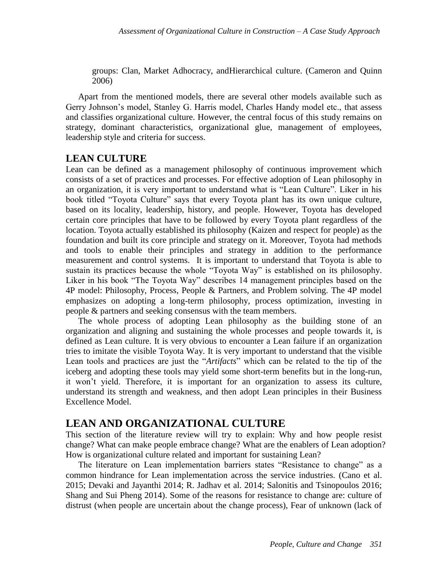groups: Clan, Market Adhocracy, andHierarchical culture. (Cameron and Quinn 2006)

Apart from the mentioned models, there are several other models available such as Gerry Johnson's model, Stanley G. Harris model, Charles Handy model etc., that assess and classifies organizational culture. However, the central focus of this study remains on strategy, dominant characteristics, organizational glue, management of employees, leadership style and criteria for success.

#### **LEAN CULTURE**

Lean can be defined as a management philosophy of continuous improvement which consists of a set of practices and processes. For effective adoption of Lean philosophy in an organization, it is very important to understand what is "Lean Culture". Liker in his book titled "Toyota Culture" says that every Toyota plant has its own unique culture, based on its locality, leadership, history, and people. However, Toyota has developed certain core principles that have to be followed by every Toyota plant regardless of the location. Toyota actually established its philosophy (Kaizen and respect for people) as the foundation and built its core principle and strategy on it. Moreover, Toyota had methods and tools to enable their principles and strategy in addition to the performance measurement and control systems. It is important to understand that Toyota is able to sustain its practices because the whole "Toyota Way" is established on its philosophy. Liker in his book "The Toyota Way" describes 14 management principles based on the 4P model: Philosophy, Process, People & Partners, and Problem solving. The 4P model emphasizes on adopting a long-term philosophy, process optimization, investing in people & partners and seeking consensus with the team members.

The whole process of adopting Lean philosophy as the building stone of an organization and aligning and sustaining the whole processes and people towards it, is defined as Lean culture. It is very obvious to encounter a Lean failure if an organization tries to imitate the visible Toyota Way. It is very important to understand that the visible Lean tools and practices are just the "*Artifacts*" which can be related to the tip of the iceberg and adopting these tools may yield some short-term benefits but in the long-run, it won't yield. Therefore, it is important for an organization to assess its culture, understand its strength and weakness, and then adopt Lean principles in their Business Excellence Model.

### **LEAN AND ORGANIZATIONAL CULTURE**

This section of the literature review will try to explain: Why and how people resist change? What can make people embrace change? What are the enablers of Lean adoption? How is organizational culture related and important for sustaining Lean?

The literature on Lean implementation barriers states "Resistance to change" as a common hindrance for Lean implementation across the service industries. (Cano et al. 2015; Devaki and Jayanthi 2014; R. Jadhav et al. 2014; Salonitis and Tsinopoulos 2016; Shang and Sui Pheng 2014). Some of the reasons for resistance to change are: culture of distrust (when people are uncertain about the change process), Fear of unknown (lack of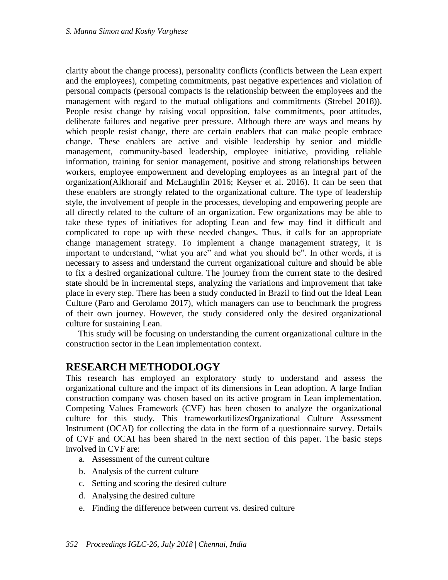clarity about the change process), personality conflicts (conflicts between the Lean expert and the employees), competing commitments, past negative experiences and violation of personal compacts (personal compacts is the relationship between the employees and the management with regard to the mutual obligations and commitments (Strebel 2018)). People resist change by raising vocal opposition, false commitments, poor attitudes, deliberate failures and negative peer pressure. Although there are ways and means by which people resist change, there are certain enablers that can make people embrace change. These enablers are active and visible leadership by senior and middle management, community-based leadership, employee initiative, providing reliable information, training for senior management, positive and strong relationships between workers, employee empowerment and developing employees as an integral part of the organization(Alkhoraif and McLaughlin 2016; Keyser et al. 2016). It can be seen that these enablers are strongly related to the organizational culture. The type of leadership style, the involvement of people in the processes, developing and empowering people are all directly related to the culture of an organization. Few organizations may be able to take these types of initiatives for adopting Lean and few may find it difficult and complicated to cope up with these needed changes. Thus, it calls for an appropriate change management strategy. To implement a change management strategy, it is important to understand, "what you are" and what you should be". In other words, it is necessary to assess and understand the current organizational culture and should be able to fix a desired organizational culture. The journey from the current state to the desired state should be in incremental steps, analyzing the variations and improvement that take place in every step. There has been a study conducted in Brazil to find out the Ideal Lean Culture (Paro and Gerolamo 2017), which managers can use to benchmark the progress of their own journey. However, the study considered only the desired organizational culture for sustaining Lean.

This study will be focusing on understanding the current organizational culture in the construction sector in the Lean implementation context.

### **RESEARCH METHODOLOGY**

This research has employed an exploratory study to understand and assess the organizational culture and the impact of its dimensions in Lean adoption. A large Indian construction company was chosen based on its active program in Lean implementation. Competing Values Framework (CVF) has been chosen to analyze the organizational culture for this study. This frameworkutilizesOrganizational Culture Assessment Instrument (OCAI) for collecting the data in the form of a questionnaire survey. Details of CVF and OCAI has been shared in the next section of this paper. The basic steps involved in CVF are:

- a. Assessment of the current culture
- b. Analysis of the current culture
- c. Setting and scoring the desired culture
- d. Analysing the desired culture
- e. Finding the difference between current vs. desired culture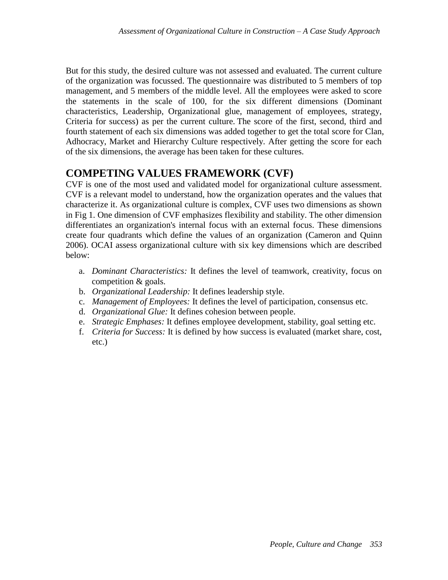But for this study, the desired culture was not assessed and evaluated. The current culture of the organization was focussed. The questionnaire was distributed to 5 members of top management, and 5 members of the middle level. All the employees were asked to score the statements in the scale of 100, for the six different dimensions (Dominant characteristics, Leadership, Organizational glue, management of employees, strategy, Criteria for success) as per the current culture. The score of the first, second, third and fourth statement of each six dimensions was added together to get the total score for Clan, Adhocracy, Market and Hierarchy Culture respectively. After getting the score for each of the six dimensions, the average has been taken for these cultures.

# **COMPETING VALUES FRAMEWORK (CVF)**

CVF is one of the most used and validated model for organizational culture assessment. CVF is a relevant model to understand, how the organization operates and the values that characterize it. As organizational culture is complex, CVF uses two dimensions as shown in Fig 1. One dimension of CVF emphasizes flexibility and stability. The other dimension differentiates an organization's internal focus with an external focus. These dimensions create four quadrants which define the values of an organization (Cameron and Quinn 2006). OCAI assess organizational culture with six key dimensions which are described below:

- a. *Dominant Characteristics:* It defines the level of teamwork, creativity, focus on competition & goals.
- b. *Organizational Leadership:* It defines leadership style.
- c. *Management of Employees:* It defines the level of participation, consensus etc.
- d. *Organizational Glue:* It defines cohesion between people.
- e. *Strategic Emphases:* It defines employee development, stability, goal setting etc.
- f. *Criteria for Success:* It is defined by how success is evaluated (market share, cost, etc.)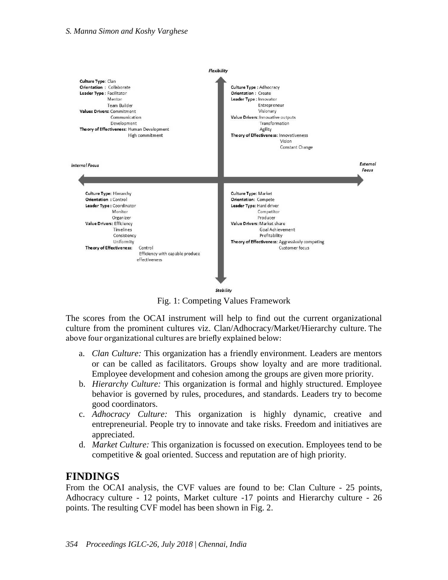

Fig. 1: Competing Values Framework

The scores from the OCAI instrument will help to find out the current organizational culture from the prominent cultures viz. Clan/Adhocracy/Market/Hierarchy culture. The above four organizational cultures are briefly explained below:

- a. *Clan Culture:* This organization has a friendly environment. Leaders are mentors or can be called as facilitators. Groups show loyalty and are more traditional. Employee development and cohesion among the groups are given more priority.
- b. *Hierarchy Culture:* This organization is formal and highly structured. Employee behavior is governed by rules, procedures, and standards. Leaders try to become good coordinators.
- c. *Adhocracy Culture:* This organization is highly dynamic, creative and entrepreneurial. People try to innovate and take risks. Freedom and initiatives are appreciated.
- d. *Market Culture:* This organization is focussed on execution. Employees tend to be competitive & goal oriented. Success and reputation are of high priority.

### **FINDINGS**

From the OCAI analysis, the CVF values are found to be: Clan Culture - 25 points, Adhocracy culture - 12 points, Market culture -17 points and Hierarchy culture - 26 points. The resulting CVF model has been shown in Fig. 2.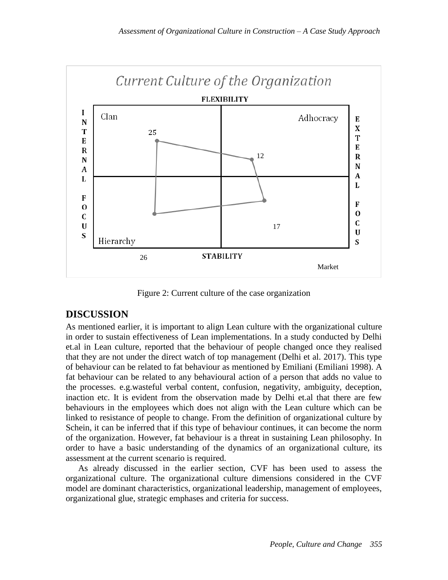

Figure 2: Current culture of the case organization

#### **DISCUSSION**

As mentioned earlier, it is important to align Lean culture with the organizational culture in order to sustain effectiveness of Lean implementations. In a study conducted by Delhi et.al in Lean culture, reported that the behaviour of people changed once they realised that they are not under the direct watch of top management (Delhi et al. 2017). This type of behaviour can be related to fat behaviour as mentioned by Emiliani (Emiliani 1998). A fat behaviour can be related to any behavioural action of a person that adds no value to the processes. e.g.wasteful verbal content, confusion, negativity, ambiguity, deception, inaction etc. It is evident from the observation made by Delhi et.al that there are few behaviours in the employees which does not align with the Lean culture which can be linked to resistance of people to change. From the definition of organizational culture by Schein, it can be inferred that if this type of behaviour continues, it can become the norm of the organization. However, fat behaviour is a threat in sustaining Lean philosophy. In order to have a basic understanding of the dynamics of an organizational culture, its assessment at the current scenario is required.

As already discussed in the earlier section, CVF has been used to assess the organizational culture. The organizational culture dimensions considered in the CVF model are dominant characteristics, organizational leadership, management of employees, organizational glue, strategic emphases and criteria for success.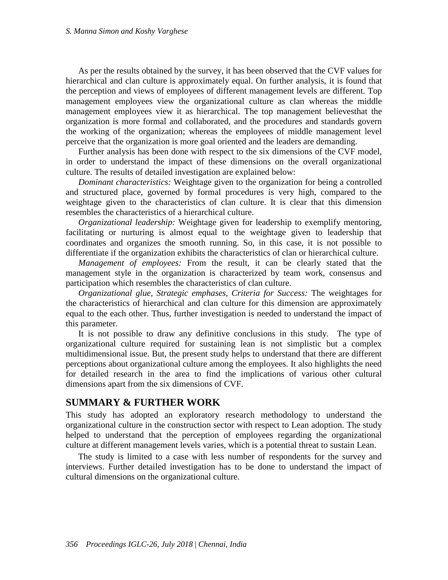As per the results obtained by the survey, it has been observed that the CVF values for hierarchical and clan culture is approximately equal. On further analysis, it is found that the perception and views of employees of different management levels are different. Top management employees view the organizational culture as clan whereas the middle management employees view it as hierarchical. The top management believesthat the organization is more formal and collaborated, and the procedures and standards govern the working of the organization; whereas the employees of middle management level perceive that the organization is more goal oriented and the leaders are demanding.

Further analysis has been done with respect to the six dimensions of the CVF model, in order to understand the impact of these dimensions on the overall organizational culture. The results of detailed investigation are explained below:

*Dominant characteristics:* Weightage given to the organization for being a controlled and structured place, governed by formal procedures is very high, compared to the weightage given to the characteristics of clan culture. It is clear that this dimension resembles the characteristics of a hierarchical culture.

*Organizational leadership:* Weightage given for leadership to exemplify mentoring, facilitating or nurturing is almost equal to the weightage given to leadership that coordinates and organizes the smooth running. So, in this case, it is not possible to differentiate if the organization exhibits the characteristics of clan or hierarchical culture.

*Management of employees:* From the result, it can be clearly stated that the management style in the organization is characterized by team work, consensus and participation which resembles the characteristics of clan culture.

*Organizational glue, Strategic emphases, Criteria for Success:* The weightages for the characteristics of hierarchical and clan culture for this dimension are approximately equal to the each other. Thus, further investigation is needed to understand the impact of this parameter.

It is not possible to draw any definitive conclusions in this study. The type of organizational culture required for sustaining lean is not simplistic but a complex multidimensional issue. But, the present study helps to understand that there are different perceptions about organizational culture among the employees. It also highlights the need for detailed research in the area to find the implications of various other cultural dimensions apart from the six dimensions of CVF.

#### **SUMMARY & FURTHER WORK**

This study has adopted an exploratory research methodology to understand the organizational culture in the construction sector with respect to Lean adoption. The study helped to understand that the perception of employees regarding the organizational culture at different management levels varies, which is a potential threat to sustain Lean.

The study is limited to a case with less number of respondents for the survey and interviews. Further detailed investigation has to be done to understand the impact of cultural dimensions on the organizational culture.